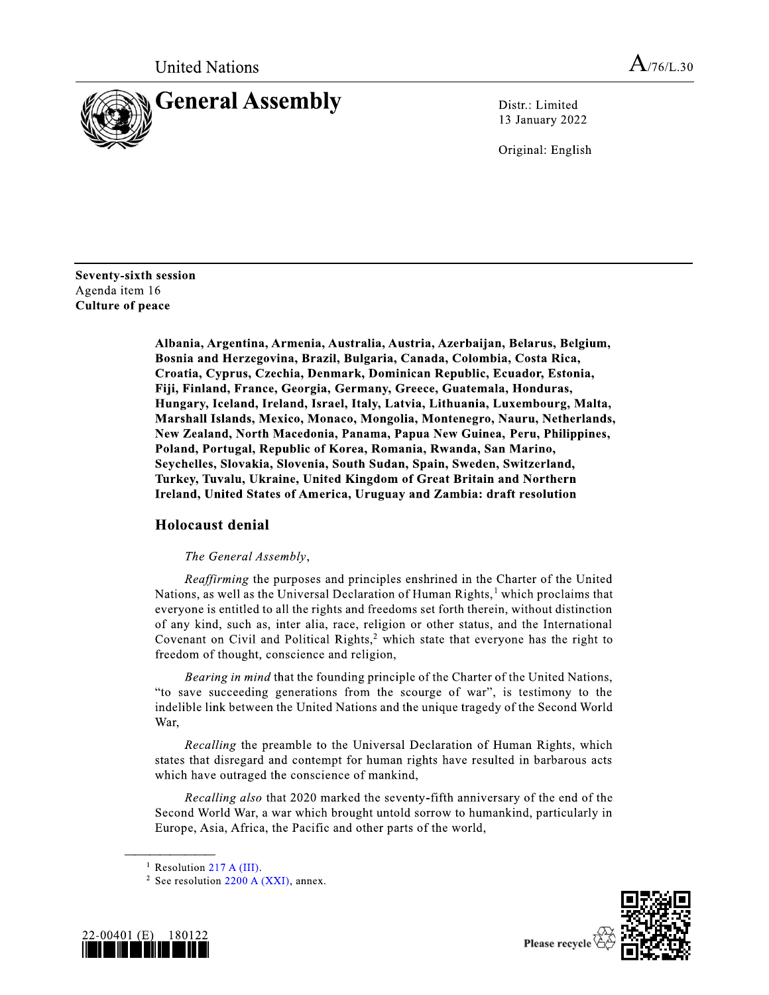

Distr.: Limited 13 January 2022

Original: English

Seventy-sixth session Agenda item 16 **Culture of peace** 

> Albania, Argentina, Armenia, Australia, Austria, Azerbaijan, Belarus, Belgium, Bosnia and Herzegovina, Brazil, Bulgaria, Canada, Colombia, Costa Rica, Croatia, Cyprus, Czechia, Denmark, Dominican Republic, Ecuador, Estonia, Fiji, Finland, France, Georgia, Germany, Greece, Guatemala, Honduras, Hungary, Iceland, Ireland, Israel, Italy, Latvia, Lithuania, Luxembourg, Malta, Marshall Islands, Mexico, Monaco, Mongolia, Montenegro, Nauru, Netherlands, New Zealand, North Macedonia, Panama, Papua New Guinea, Peru, Philippines, Poland, Portugal, Republic of Korea, Romania, Rwanda, San Marino, Seychelles, Slovakia, Slovenia, South Sudan, Spain, Sweden, Switzerland, Turkey, Tuvalu, Ukraine, United Kingdom of Great Britain and Northern Ireland, United States of America, Uruguay and Zambia: draft resolution

## **Holocaust denial**

## The General Assembly,

Reaffirming the purposes and principles enshrined in the Charter of the United Nations, as well as the Universal Declaration of Human Rights,<sup>1</sup> which proclaims that everyone is entitled to all the rights and freedoms set forth therein, without distinction of any kind, such as, inter alia, race, religion or other status, and the International Covenant on Civil and Political Rights,<sup>2</sup> which state that everyone has the right to freedom of thought, conscience and religion,

Bearing in mind that the founding principle of the Charter of the United Nations, "to save succeeding generations from the scourge of war", is testimony to the indelible link between the United Nations and the unique tragedy of the Second World War.

Recalling the preamble to the Universal Declaration of Human Rights, which states that disregard and contempt for human rights have resulted in barbarous acts which have outraged the conscience of mankind,

Recalling also that 2020 marked the seventy-fifth anniversary of the end of the Second World War, a war which brought untold sorrow to humankind, particularly in Europe, Asia, Africa, the Pacific and other parts of the world,

<sup>&</sup>lt;sup>2</sup> See resolution 2200 A (XXI), annex.





<sup>&</sup>lt;sup>1</sup> Resolution 217 A (III).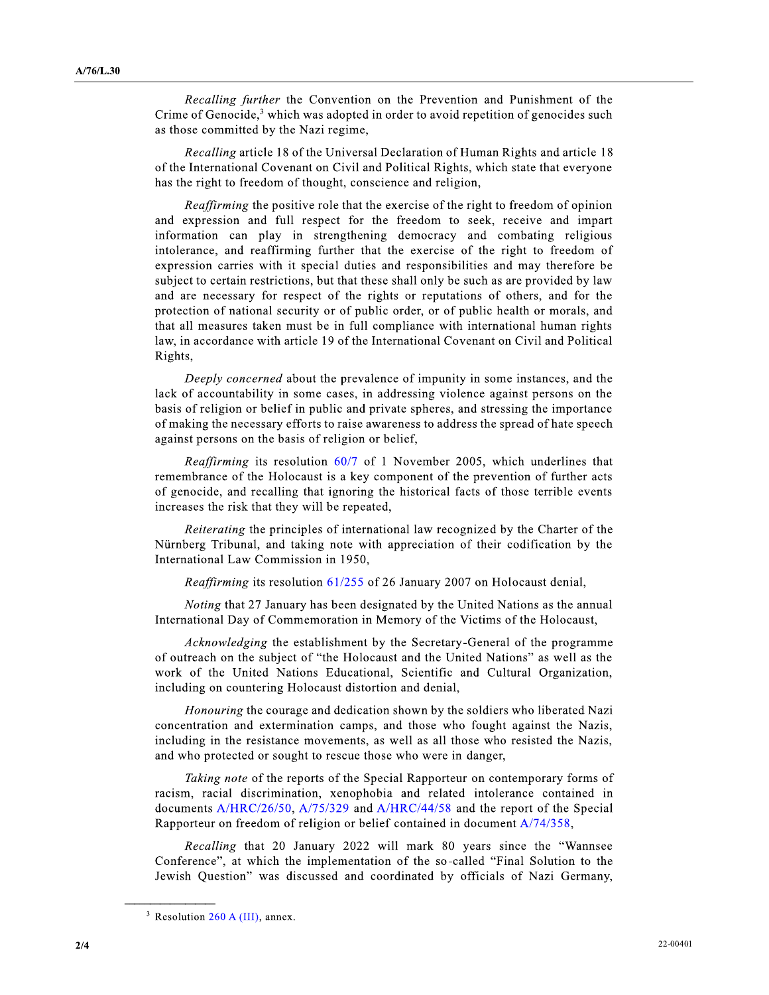Recalling further the Convention on the Prevention and Punishment of the Crime of Genocide, $3$  which was adopted in order to avoid repetition of genocides such as those committed by the Nazi regime,

*Recalling* article 18 of the Universal Declaration of Human Rights and article 18 of the International Covenant on Civil and Political Rights, which state that everyone has the right to freedom of thought, conscience and religion,

*Reaffirming* the positive role that the exercise of the right to freedom of opinion and expression and full respect for the freedom to seek, receive and impart information can play in strengthening democracy and combating religious intolerance, and reaffirming further that the exercise of the right to freedom of expression carries with it special duties and responsibilities and may therefore be subject to certain restrictions, but that these shall only be such as are provided by law and are necessary for respect of the rights or reputations of others, and for the protection of national security or of public order, or of public health or morals, and that all measures taken must be in full compliance with international human rights law, in accordance with article 19 of the International Covenant on Civil and Political Rights,

Deeply concerned about the prevalence of impunity in some instances, and the lack of accountability in some cases, in addressing violence against persons on the basis of religion or belief in public and private spheres, and stressing the importance of making the necessary efforts to raise awareness to address the spread of hate speech against persons on the basis of religion or belief,

*Reaffirming* its resolution 60/7 of 1 November 2005, which underlines that remembrance of the Holocaust is a key component of the prevention of further acts of genocide, and recalling that ignoring the historical facts of those terrible events increases the risk that they will be repeated,

*Reiterating* the principles of international law recognized by the Charter of the Nürnberg Tribunal, and taking note with appreciation of their codification by the International Law Commission in 1950,

Reaffirming its resolution 61/255 of 26 January 2007 on Holocaust denial,

*Noting* that 27 January has been designated by the United Nations as the annual International Day of Commemoration in Memory of the Victims of the Holocaust,

Acknowledging the establishment by the Secretary-General of the programme of outreach on the subject of "the Holocaust and the United Nations" as well as the work of the United Nations Educational, Scientific and Cultural Organization, including on countering Holocaust distortion and denial,

*Honouring* the courage and dedication shown by the soldiers who liberated Nazi concentration and extermination camps, and those who fought against the Nazis, including in the resistance movements, as well as all those who resisted the Nazis, and who protected or sought to rescue those who were in danger,

Taking note of the reports of the Special Rapporteur on contemporary forms of racism, racial discrimination, xenophobia and related intolerance contained in documents A/HRC/26/50, A/75/329 and A/HRC/44/58 and the report of the Special Rapporteur on freedom of religion or belief contained in document A/74/358,

Recalling that 20 January 2022 will mark 80 years since the "Wannsee" Conference", at which the implementation of the so-called "Final Solution to the Jewish Question" was discussed and coordinated by officials of Nazi Germany,

<sup>&</sup>lt;sup>3</sup> Resolution  $260$  A (III), annex.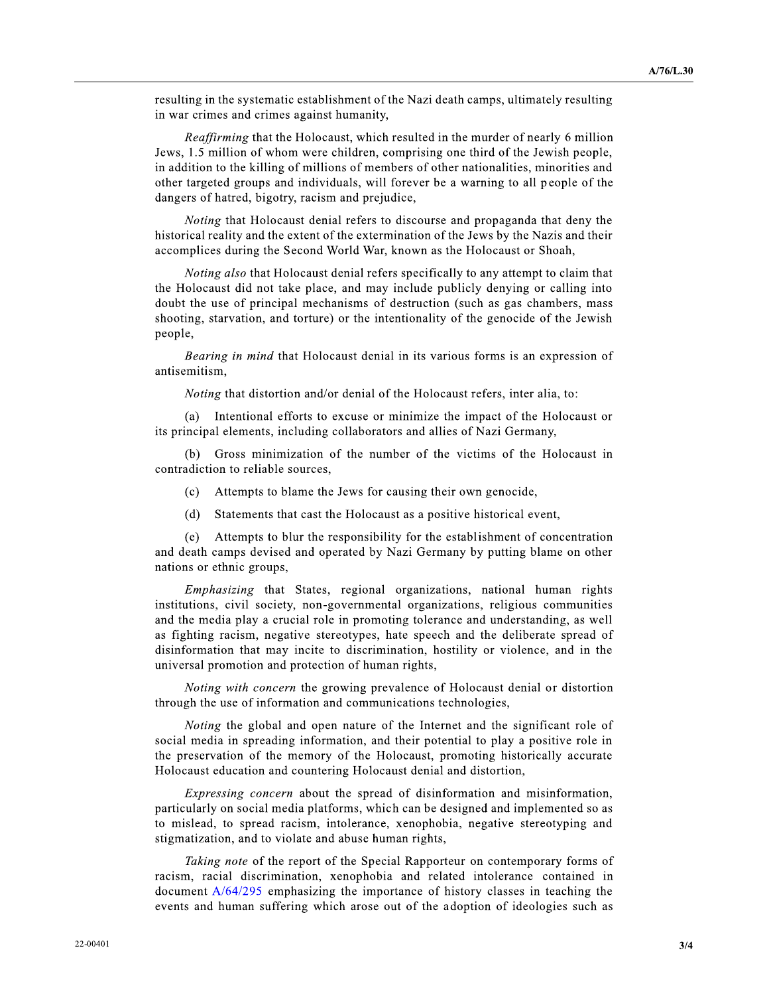resulting in the systematic establishment of the Nazi death camps, ultimately resulting in war crimes and crimes against humanity,

Reaffirming that the Holocaust, which resulted in the murder of nearly 6 million Jews, 1.5 million of whom were children, comprising one third of the Jewish people, in addition to the killing of millions of members of other nationalities, minorities and other targeted groups and individuals, will forever be a warning to all people of the dangers of hatred, bigotry, racism and prejudice,

Noting that Holocaust denial refers to discourse and propaganda that deny the historical reality and the extent of the extermination of the Jews by the Nazis and their accomplices during the Second World War, known as the Holocaust or Shoah,

Noting also that Holocaust denial refers specifically to any attempt to claim that the Holocaust did not take place, and may include publicly denying or calling into doubt the use of principal mechanisms of destruction (such as gas chambers, mass shooting, starvation, and torture) or the intentionality of the genocide of the Jewish people,

Bearing in mind that Holocaust denial in its various forms is an expression of antisemitism.

Noting that distortion and/or denial of the Holocaust refers, inter alia, to:

(a) Intentional efforts to excuse or minimize the impact of the Holocaust or its principal elements, including collaborators and allies of Nazi Germany,

(b) Gross minimization of the number of the victims of the Holocaust in contradiction to reliable sources,

- Attempts to blame the Jews for causing their own genocide,  $(c)$
- Statements that cast the Holocaust as a positive historical event.  $(d)$

(e) Attempts to blur the responsibility for the establishment of concentration and death camps devised and operated by Nazi Germany by putting blame on other nations or ethnic groups,

*Emphasizing* that States, regional organizations, national human rights institutions, civil society, non-governmental organizations, religious communities and the media play a crucial role in promoting tolerance and understanding, as well as fighting racism, negative stereotypes, hate speech and the deliberate spread of disinformation that may incite to discrimination, hostility or violence, and in the universal promotion and protection of human rights,

Noting with concern the growing prevalence of Holocaust denial or distortion through the use of information and communications technologies,

Noting the global and open nature of the Internet and the significant role of social media in spreading information, and their potential to play a positive role in the preservation of the memory of the Holocaust, promoting historically accurate Holocaust education and countering Holocaust denial and distortion,

*Expressing concern* about the spread of disinformation and misinformation, particularly on social media platforms, which can be designed and implemented so as to mislead, to spread racism, intolerance, xenophobia, negative stereotyping and stigmatization, and to violate and abuse human rights,

Taking note of the report of the Special Rapporteur on contemporary forms of racism, racial discrimination, xenophobia and related intolerance contained in document A/64/295 emphasizing the importance of history classes in teaching the events and human suffering which arose out of the adoption of ideologies such as